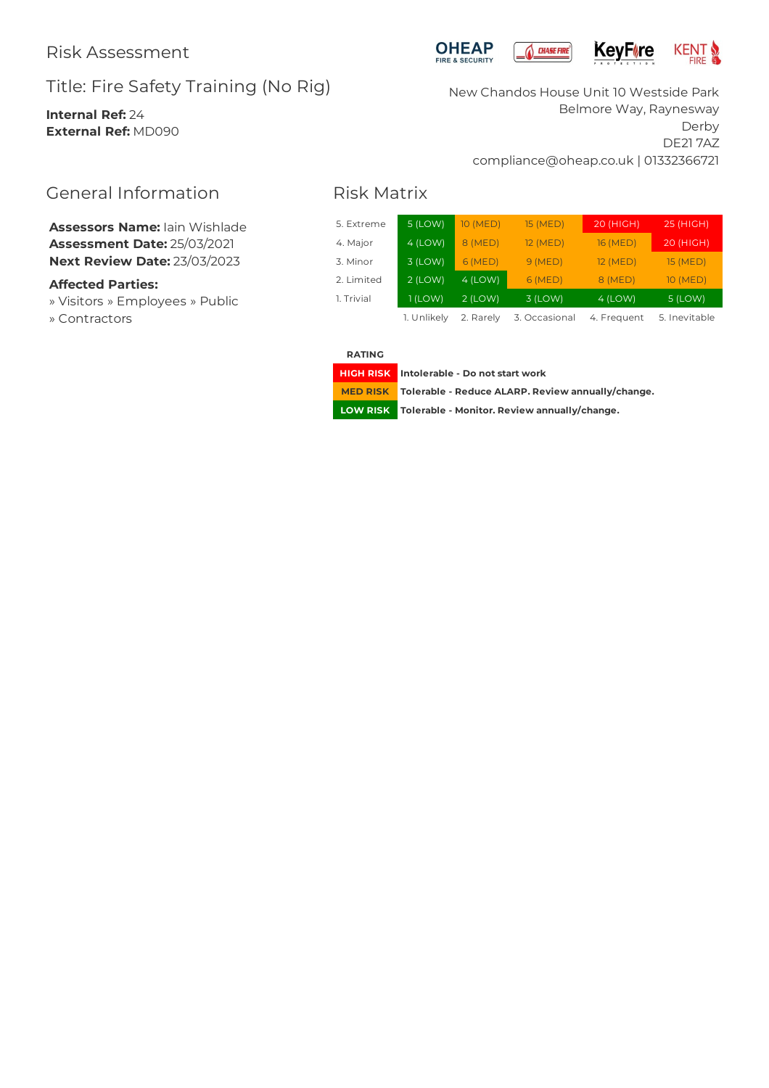# Title: Fire Safety Training (No Rig)

**Internal Ref:** 24 **External Ref:** MD090





New Chandos House Unit 10 Westside Park Belmore Way, Raynesway Derby DE21 7AZ compliance@oheap.co.uk | 01332366721

# Risk Matrix

| 5. Extreme | 5 (LOW)             | 10 (MED)  | 15 (MED)     | 20 (HIGH)        | 25 (HIGH)      |
|------------|---------------------|-----------|--------------|------------------|----------------|
| 4. Major   | $4$ (LOW)           | 8 (MED)   | 12 (MED)     | 16 (MED)         | 20 (HIGH)      |
| 3. Minor   | $3$ (LOW)           | 6(MED)    | 9(MED)       | 12 (MED)         | 15 (MED)       |
| 2. Limited | $2$ (LOW)           | $4$ (LOW) | 6(MED)       | 8 (MED)          | 10 (MED)       |
| 1. Trivial | $1$ (LOW)           | $2$ (LOW) | 3 (LOW)      | $4$ (LOW)        | 5 (LOW)        |
|            | 1 Unlikely 2 Daroly |           | Z Oceanianal | $L$ $F$ roquiant | $F$ Inovitable |

1. Unlikely 2. Rarely 3. Occasional 4. Frequent 5. Inevitable

**RATING**

**HIGH RISK Intolerable - Do notstart work**

**MED RISK Tolerable - Reduce ALARP. Review annually/change.**

**LOW RISK Tolerable - Monitor. Review annually/change.**

# General Information

**Assessors Name:** Iain Wishlade **Assessment Date:** 25/03/2021 **Next Review Date:** 23/03/2023

# **Affected Parties:**

» Visitors » Employees » Public » Contractors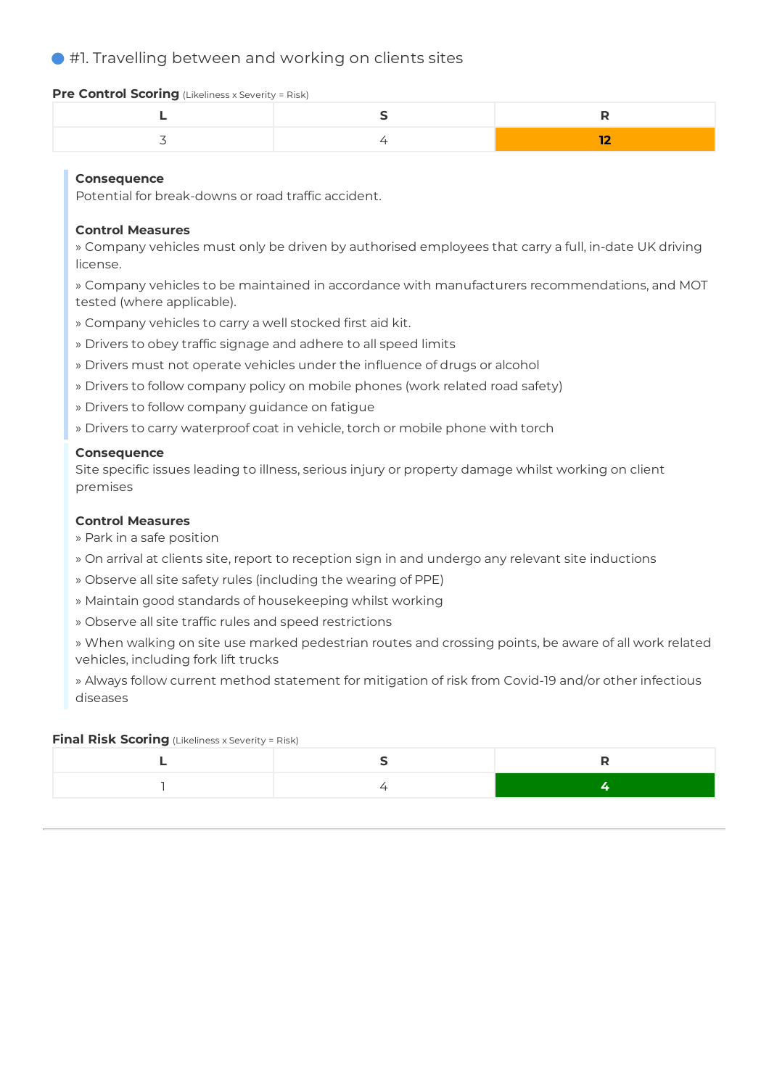# #1. Travelling between and working on clients sites

#### **Pre Control Scoring** (Likeliness x Severity = Risk)

## **Consequence**

Potential for break-downs or road traffic accident.

#### **Control Measures**

» Company vehicles must only be driven by authorised employees that carry a full, in-date UK driving license.

» Company vehicles to be maintained in accordance with manufacturers recommendations, and MOT tested (where applicable).

- » Company vehicles to carry a well stocked first aid kit.
- » Drivers to obey traffic signage and adhere to all speed limits
- » Drivers must not operate vehicles under the influence of drugs or alcohol
- » Drivers to follow company policy on mobile phones (work related road safety)
- » Drivers to follow company guidance on fatigue
- » Drivers to carry waterproof coat in vehicle, torch or mobile phone with torch

#### **Consequence**

Site specific issues leading to illness, serious injury or property damage whilst working on client premises

#### **Control Measures**

- » Park in a safe position
- » On arrival at clients site, report to reception sign in and undergo any relevant site inductions
- » Observe all site safety rules (including the wearing of PPE)
- » Maintain good standards of housekeeping whilst working
- » Observe all site traffic rules and speed restrictions

» When walking on site use marked pedestrian routes and crossing points, be aware of all work related vehicles, including fork lift trucks

» Always follow current method statement for mitigation of risk from Covid-19 and/or other infectious diseases

#### **Final Risk Scoring** (Likeliness x Severity = Risk)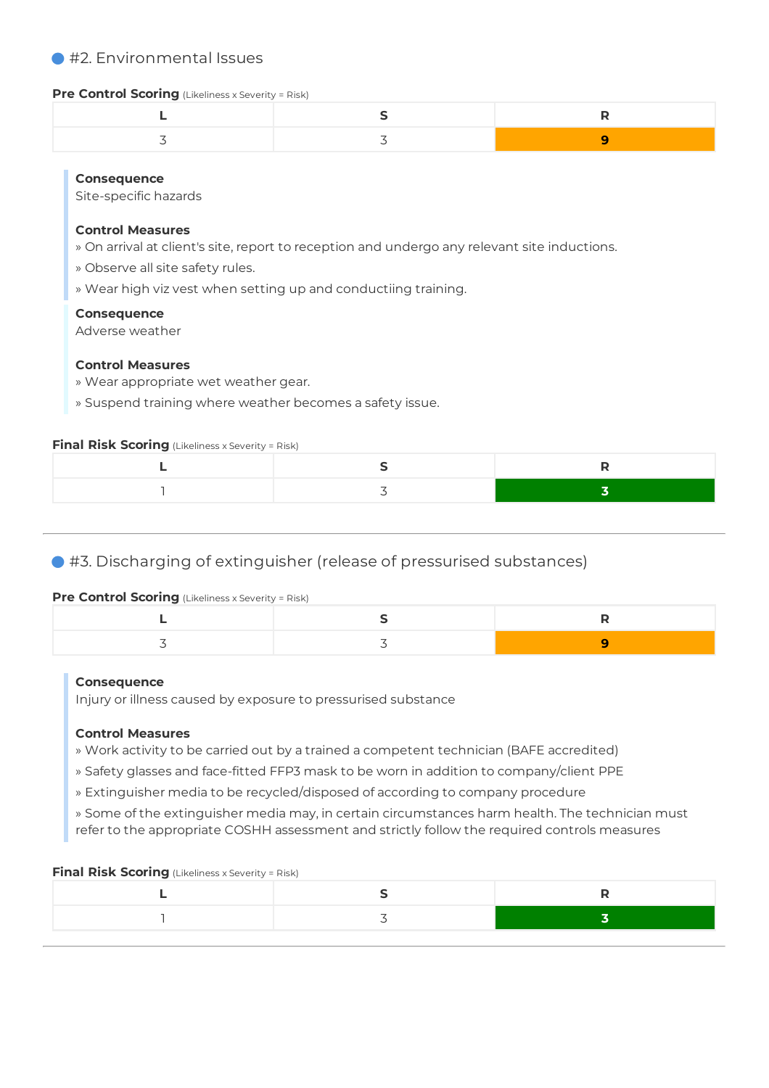# ● #2. Environmental Issues

#### **Pre Control Scoring** (Likeliness x Severity = Risk)

# **Consequence**

Site-specific hazards

#### **Control Measures**

- » On arrival at client's site, report to reception and undergo any relevant site inductions.
- » Observe all site safety rules.
- » Wear high viz vest when setting up and conductiing training.

#### **Consequence**

Adverse weather

## **Control Measures**

- » Wear appropriate wet weather gear.
- » Suspend training where weather becomes a safety issue.

#### **Final Risk Scoring** (Likeliness x Severity = Risk)

# #3. Discharging of extinguisher (release of pressurised substances)

## **Pre Control Scoring** (Likeliness x Severity = Risk)

## **Consequence**

Injury or illness caused by exposure to pressurised substance

## **Control Measures**

- » Work activity to be carried out by a trained a competent technician (BAFE accredited)
- » Safety glasses and face-fitted FFP3 mask to be worn in addition to company/client PPE
- » Extinguisher media to be recycled/disposed of according to company procedure
- » Some of the extinguisher media may, in certain circumstances harm health. The technician must refer to the appropriate COSHH assessment and strictly follow the required controls measures

# **Final Risk Scoring** (Likeliness x Severity = Risk)